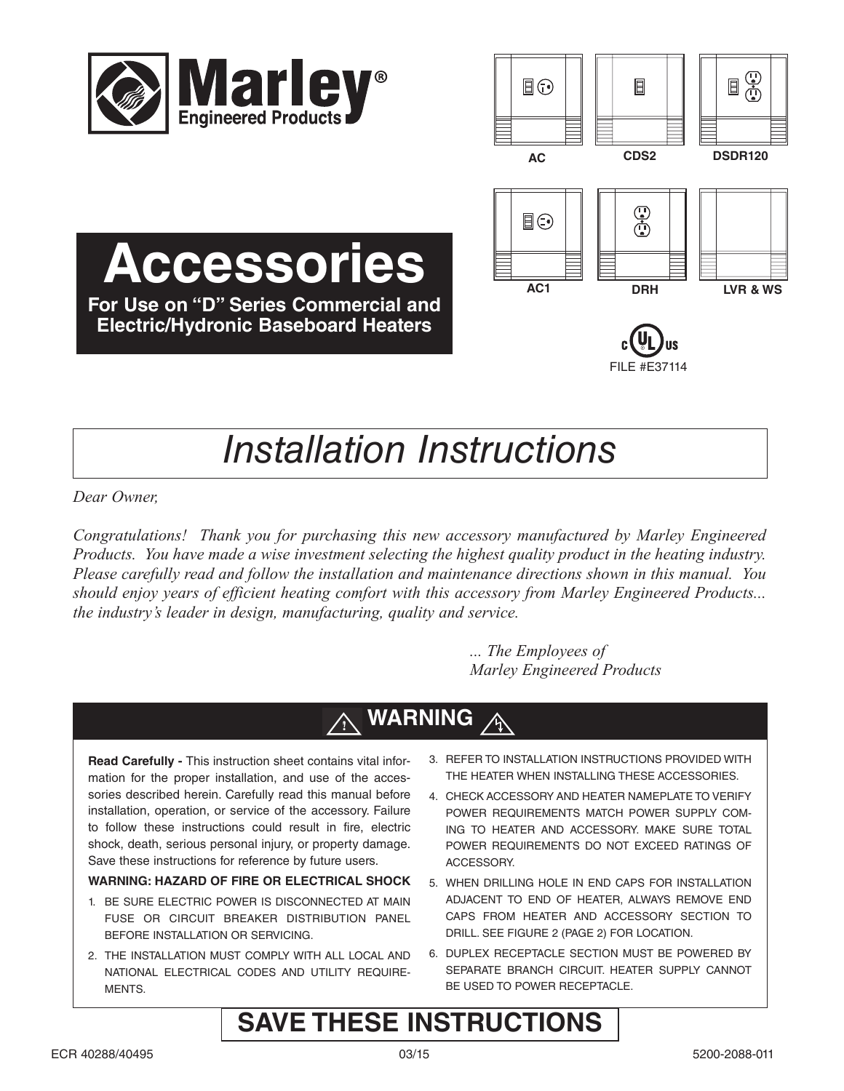

**Accessories**

**For Use on "D" Series Commercial and Electric/Hydronic Baseboard Heaters**



# *Installation Instructions*

*Dear Owner,*

*Congratulations! Thank you for purchasing this new accessory manufactured by Marley Engineered Products. You have made a wise investment selecting the highest quality product in the heating industry. Please carefully read and follow the installation and maintenance directions shown in this manual. You should enjoy years of efficient heating comfort with this accessory from Marley Engineered Products... the industry's leader in design, manufacturing, quality and service.*

> *... The Employees of Marley Engineered Products*

### **WARNING !**

**Read Carefully -** This instruction sheet contains vital information for the proper installation, and use of the accessories described herein. Carefully read this manual before installation, operation, or service of the accessory. Failure to follow these instructions could result in fire, electric shock, death, serious personal injury, or property damage. Save these instructions for reference by future users.

### **WARNING: HAZARD OF FIRE OR ELECTRICAL SHOCK**

- 1. BE SURE ELECTRIC POWER IS DISCONNECTED AT MAIN FUSE OR CIRCUIT BREAKER DISTRIBUTION PANEL BEFORE INSTALLATION OR SERVICING.
- 2. THE INSTALLATION MUST COMPLY WITH ALL LOCAL AND NATIONAL ELECTRICAL CODES AND UTILITY REQUIRE-MENTS.
- 3. REFER TO INSTALLATION INSTRUCTIONS PROVIDED WITH THE HEATER WHEN INSTALLING THESE ACCESSORIES.
- 4. CHECK ACCESSORY AND HEATER NAMEPLATE TO VERIFY POWER REQUIREMENTS MATCH POWER SUPPLY COM-ING TO HEATER AND ACCESSORY. MAKE SURE TOTAL POWER REQUIREMENTS DO NOT EXCEED RATINGS OF ACCESSORY.
- 5. WHEN DRILLING HOLE IN END CAPS FOR INSTALLATION ADJACENT TO END OF HEATER, ALWAYS REMOVE END CAPS FROM HEATER AND ACCESSORY SECTION TO DRILL. SEE FIGURE 2 (PAGE 2) FOR LOCATION.
- 6. DUPLEX RECEPTACLE SECTION MUST BE POWERED BY SEPARATE BRANCH CIRCUIT. HEATER SUPPLY CANNOT BE USED TO POWER RECEPTACLE.

# **SAVE THESE INSTRUCTIONS**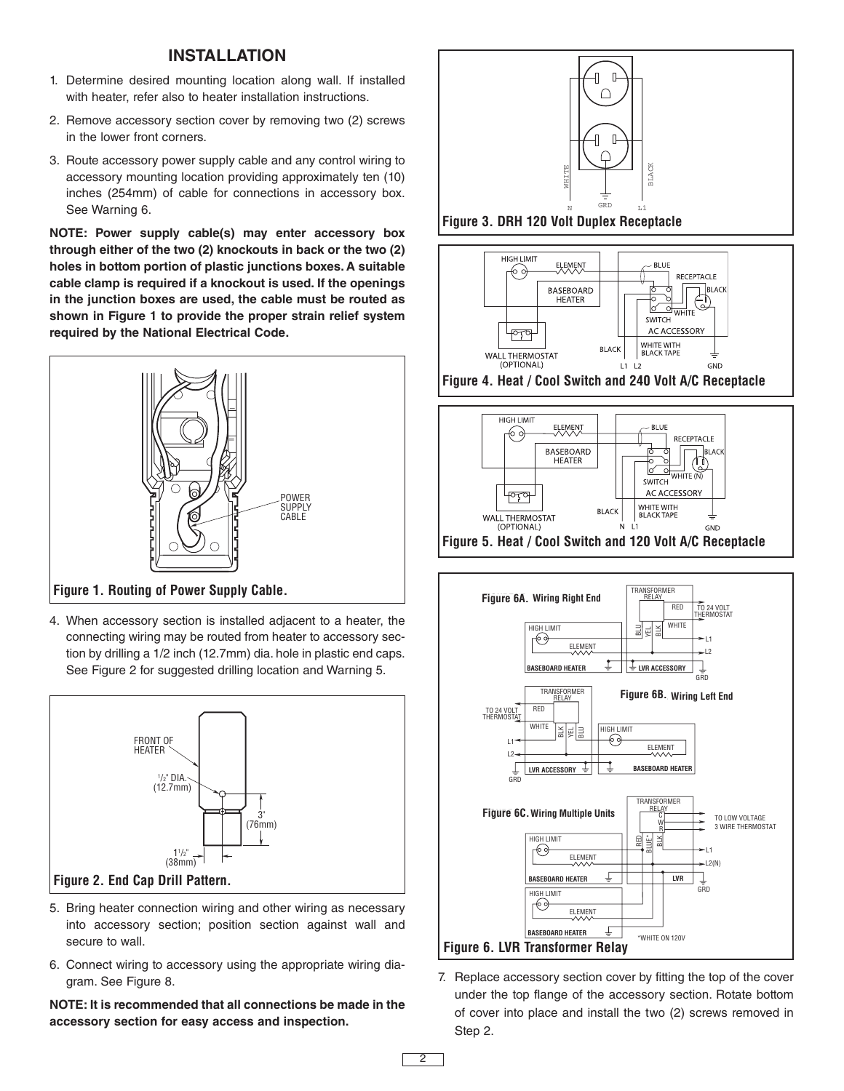# **INSTALLATION**

- 1. Determine desired mounting location along wall. If installed with heater, refer also to heater installation instructions.
- 2. Remove accessory section cover by removing two (2) screws in the lower front corners.
- 3. Route accessory power supply cable and any control wiring to accessory mounting location providing approximately ten (10) inches (254mm) of cable for connections in accessory box. See Warning 6.

**NOTE: Power supply cable(s) may enter accessory box through either of the two (2) knockouts in back or the two (2) holes in bottom portion of plastic junctions boxes. A suitable cable clamp is required if a knockout is used. If the openings in the junction boxes are used, the cable must be routed as shown in Figure 1 to provide the proper strain relief system required by the National Electrical Code.**



**Figure 1. Routing of Power Supply Cable.**

4. When accessory section is installed adjacent to a heater, the connecting wiring may be routed from heater to accessory section by drilling a 1/2 inch (12.7mm) dia. hole in plastic end caps. See Figure 2 for suggested drilling location and Warning 5.



- 5. Bring heater connection wiring and other wiring as necessary into accessory section; position section against wall and secure to wall.
- 6. Connect wiring to accessory using the appropriate wiring diagram. See Figure 8.

**NOTE: It is recommended that all connections be made in the accessory section for easy access and inspection.**







**Figure 4. Heat / Cool Switch and 240 Volt A/C Receptacle**





7. Replace accessory section cover by fitting the top of the cover under the top flange of the accessory section. Rotate bottom of cover into place and install the two (2) screws removed in Step 2.

2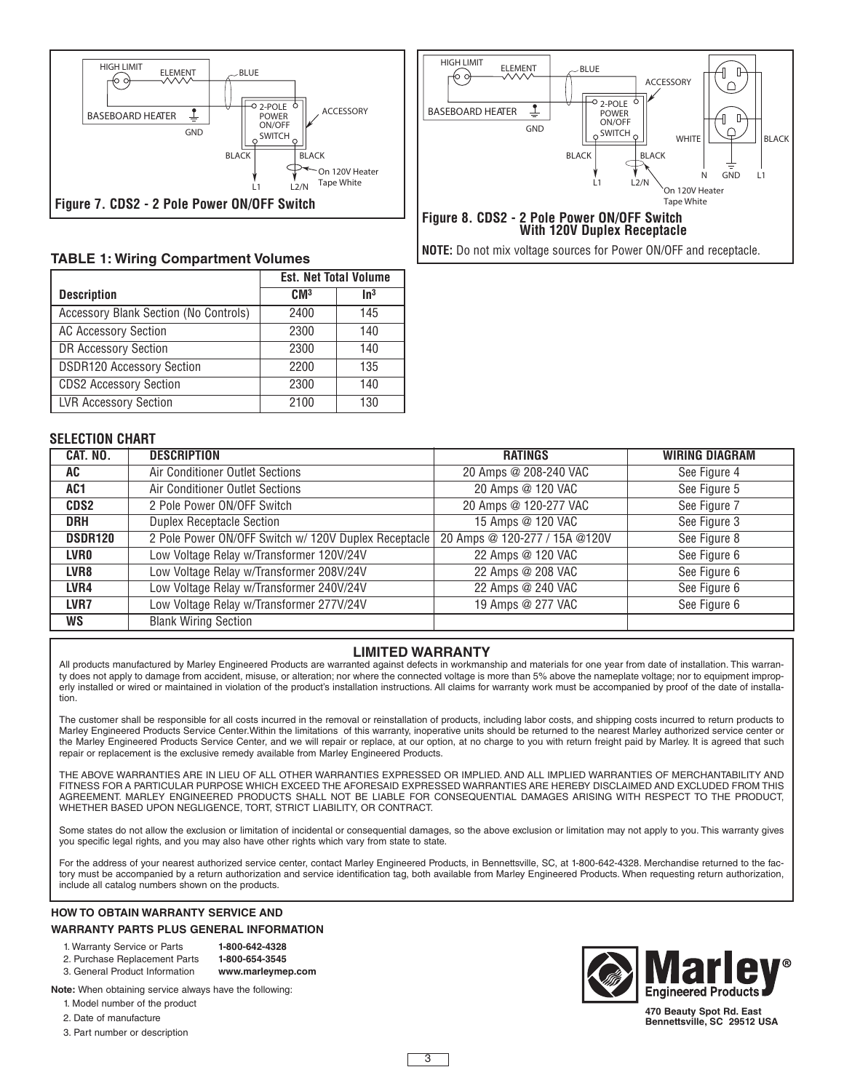

### **TABLE 1: Wiring Compartment Volumes**

|                                       | <b>Est. Net Total Volume</b> |                 |
|---------------------------------------|------------------------------|-----------------|
| <b>Description</b>                    | CM <sup>3</sup>              | In <sup>3</sup> |
| Accessory Blank Section (No Controls) | 2400                         | 145             |
| <b>AC Accessory Section</b>           | 2300                         | 140             |
| DR Accessory Section                  | 2300                         | 140             |
| <b>DSDR120 Accessory Section</b>      | 2200                         | 135             |
| <b>CDS2 Accessory Section</b>         | 2300                         | 140             |
| <b>LVR Accessory Section</b>          | 2100                         | 130             |



**NOTE:** Do not mix voltage sources for Power ON/OFF and receptacle.

#### **SELECTION CHART**

| CAT. NO.         | <b>DESCRIPTION</b>                                   | <b>RATINGS</b>                | <b>WIRING DIAGRAM</b> |
|------------------|------------------------------------------------------|-------------------------------|-----------------------|
| AC               | Air Conditioner Outlet Sections                      | 20 Amps @ 208-240 VAC         | See Figure 4          |
| AC1              | Air Conditioner Outlet Sections                      | 20 Amps @ 120 VAC             | See Figure 5          |
| CDS2             | 2 Pole Power ON/OFF Switch                           | 20 Amps @ 120-277 VAC         | See Figure 7          |
| <b>DRH</b>       | <b>Duplex Receptacle Section</b>                     | 15 Amps @ 120 VAC             | See Figure 3          |
| <b>DSDR120</b>   | 2 Pole Power ON/OFF Switch w/ 120V Duplex Receptacle | 20 Amps @ 120-277 / 15A @120V | See Figure 8          |
| <b>LVRO</b>      | Low Voltage Relay w/Transformer 120V/24V             | 22 Amps @ 120 VAC             | See Figure 6          |
| LVR <sub>8</sub> | Low Voltage Relay w/Transformer 208V/24V             | 22 Amps @ 208 VAC             | See Figure 6          |
| LVR4             | Low Voltage Relay w/Transformer 240V/24V             | 22 Amps @ 240 VAC             | See Figure 6          |
| LVR7             | Low Voltage Relay w/Transformer 277V/24V             | 19 Amps @ 277 VAC             | See Figure 6          |
| <b>WS</b>        | <b>Blank Wiring Section</b>                          |                               |                       |

#### **LIMITED WARRANTY**

All products manufactured by Marley Engineered Products are warranted against defects in workmanship and materials for one year from date of installation. This warranty does not apply to damage from accident, misuse, or alteration; nor where the connected voltage is more than 5% above the nameplate voltage; nor to equipment improperly installed or wired or maintained in violation of the product's installation instructions. All claims for warranty work must be accompanied by proof of the date of installation.

The customer shall be responsible for all costs incurred in the removal or reinstallation of products, including labor costs, and shipping costs incurred to return products to Marley Engineered Products Service Center.Within the limitations of this warranty, inoperative units should be returned to the nearest Marley authorized service center or the Marley Engineered Products Service Center, and we will repair or replace, at our option, at no charge to you with return freight paid by Marley. It is agreed that such repair or replacement is the exclusive remedy available from Marley Engineered Products.

THE ABOVE WARRANTIES ARE IN LIEU OF ALL OTHER WARRANTIES EXPRESSED OR IMPLIED. AND ALL IMPLIED WARRANTIES OF MERCHANTABILITY AND FITNESS FOR A PARTICULAR PURPOSE WHICH EXCEED THE AFORESAID EXPRESSED WARRANTIES ARE HEREBY DISCLAIMED AND EXCLUDED FROM THIS AGREEMENT. MARLEY ENGINEERED PRODUCTS SHALL NOT BE LIABLE FOR CONSEQUENTIAL DAMAGES ARISING WITH RESPECT TO THE PRODUCT, WHETHER BASED UPON NEGLIGENCE, TORT, STRICT LIABILITY, OR CONTRACT.

Some states do not allow the exclusion or limitation of incidental or consequential damages, so the above exclusion or limitation may not apply to you. This warranty gives you specific legal rights, and you may also have other rights which vary from state to state.

For the address of your nearest authorized service center, contact Marley Engineered Products, in Bennettsville, SC, at 1-800-642-4328. Merchandise returned to the factory must be accompanied by a return authorization and service identification tag, both available from Marley Engineered Products. When requesting return authorization, include all catalog numbers shown on the products.

## **HOW TO OBTAIN WARRANTY SERVICE AND WARRANTY PARTS PLUS GENERAL INFORMATION**

| 1. Warranty Service or Parts  | 1-800-642-4328    |
|-------------------------------|-------------------|
| 2. Purchase Replacement Parts | 1-800-654-3545    |
| 3 General Product Information | www.marleymen.com |

**Note:** When obtaining service always have the following:

1. Model number of the product

2. Date of manufacture

3. Part number or description



**470 Beauty Spot Rd. East Bennettsville, SC 29512 USA**

3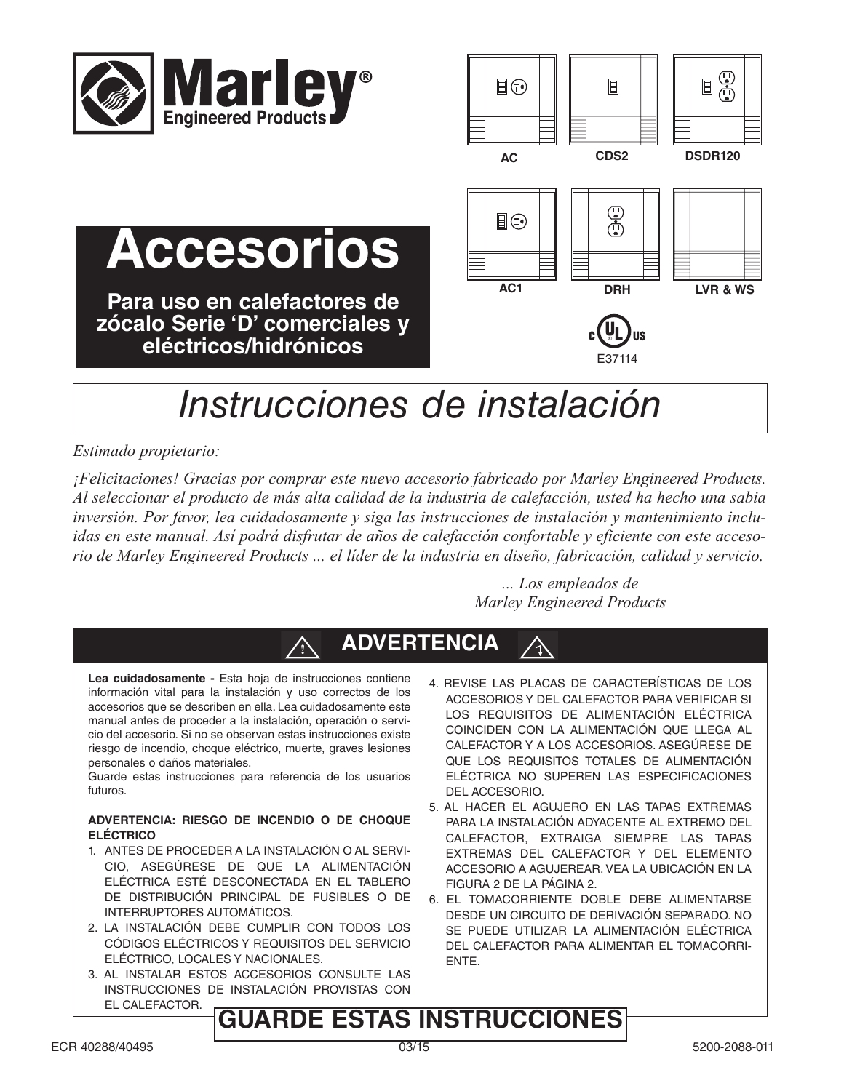

**Accesorios**

**Para uso en calefactores de zócalo Serie 'D' comerciales y eléctricos/hidrónicos**



# *Instrucciones de instalación*

# *Estimado propietario:*

*¡Felicitaciones! Gracias por comprar este nuevo accesorio fabricado por Marley Engineered Products.* Al seleccionar el producto de más alta calidad de la industria de calefacción, usted ha hecho una sabia *inversión. Por favor, lea cuidadosamente y siga las instrucciones de instalación y mantenimiento incluidas en este manual. Así podrá disfrutar de años de calefacción confortable y eficiente con este acceso*rio de Marley Engineered Products ... el líder de la industria en diseño, fabricación, calidad y servicio.

> *... Los empleados de Marley Engineered Products*



**Lea cuidadosamente -** Esta hoja de instrucciones contiene información vital para la instalación y uso correctos de los accesorios que se describen en ella. Lea cuidadosamente este manual antes de proceder a la instalación, operación o servicio del accesorio. Si no se observan estas instrucciones existe riesgo de incendio, choque eléctrico, muerte, graves lesiones personales o daños materiales.

Guarde estas instrucciones para referencia de los usuarios futuros.

#### **ADVERTENCIA: RIESGO DE INCENDIO O DE CHOQUE ELÉCTRICO**

- 1. ANTES DE PROCEDER A LA INSTALACIÓN O AL SERVI-CIO, ASEGÚRESE DE QUE LA ALIMENTACIÓN ELÉCTRICA ESTÉ DESCONECTADA EN EL TABLERO DE DISTRIBUCIÓN PRINCIPAL DE FUSIBLES O DE INTERRUPTORES AUTOMÁTICOS.
- 2. LA INSTALACIÓN DEBE CUMPLIR CON TODOS LOS CÓDIGOS ELÉCTRICOS Y REQUISITOS DEL SERVICIO ELÉCTRICO, LOCALES Y NACIONALES.
- 3. AL INSTALAR ESTOS ACCESORIOS CONSULTE LAS INSTRUCCIONES DE INSTALACIÓN PROVISTAS CON EL CALEFACTOR.
- 4. REVISE LAS PLACAS DE CARACTERÍSTICAS DE LOS ACCESORIOS Y DEL CALEFACTOR PARA VERIFICAR SI LOS REQUISITOS DE ALIMENTACIÓN ELÉCTRICA COINCIDEN CON LA ALIMENTACIÓN QUE LLEGA AL CALEFACTOR Y A LOS ACCESORIOS. ASEGÚRESE DE QUE LOS REQUISITOS TOTALES DE ALIMENTACIÓN ELÉCTRICA NO SUPEREN LAS ESPECIFICACIONES DEL ACCESORIO.
- 5. AL HACER EL AGUJERO EN LAS TAPAS EXTREMAS PARA LA INSTALACIÓN ADYACENTE AL EXTREMO DEL CALEFACTOR, EXTRAIGA SIEMPRE LAS TAPAS EXTREMAS DEL CALEFACTOR Y DEL ELEMENTO ACCESORIO A AGUJEREAR. VEA LA UBICACIÓN EN LA FIGURA 2 DE LA PÁGINA 2.
- 6. EL TOMACORRIENTE DOBLE DEBE ALIMENTARSE DESDE UN CIRCUITO DE DERIVACIÓN SEPARADO. NO SE PUEDE UTILIZAR LA ALIMENTACIÓN ELÉCTRICA DEL CALEFACTOR PARA ALIMENTAR EL TOMACORRI-ENTE.

# **GUARDE ESTAS INSTRUCCIONES**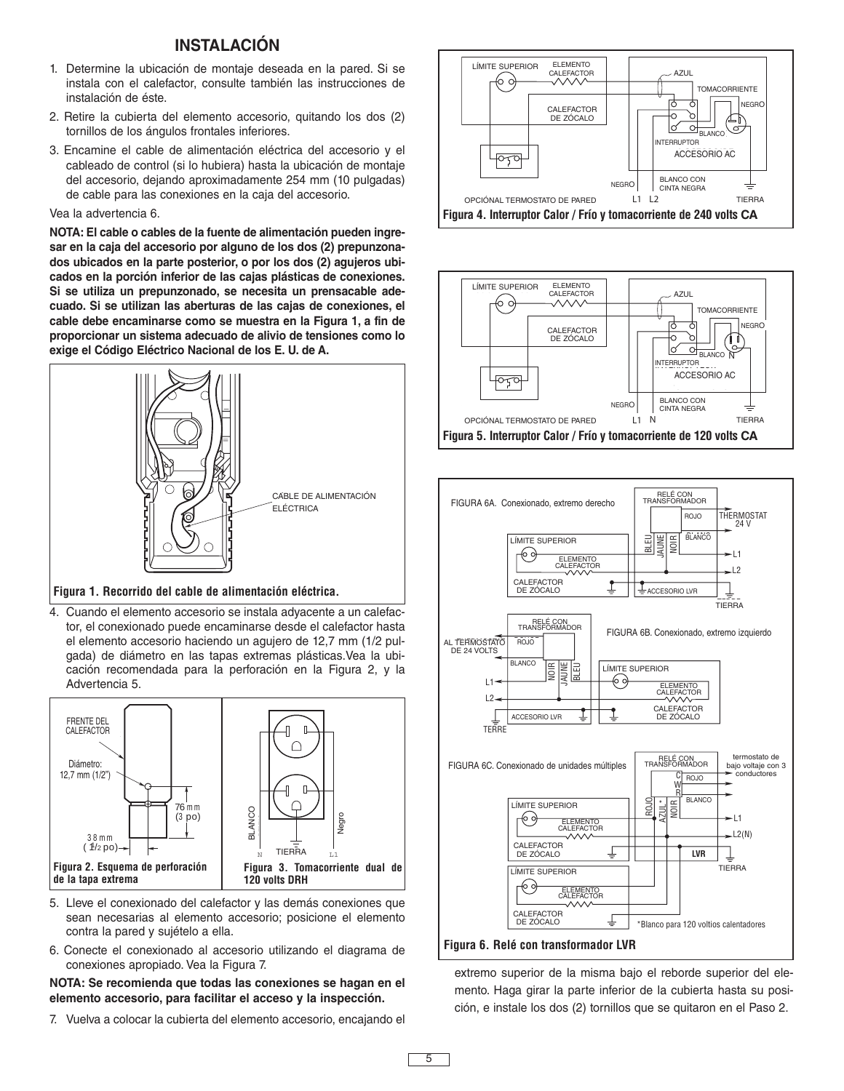# **INSTALACIÓN**

- 1. Determine la ubicación de montaje deseada en la pared. Si se instala con el calefactor, consulte también las instrucciones de instalación de éste.
- 2. Retire la cubierta del elemento accesorio, quitando los dos (2) tornillos de los ángulos frontales inferiores.
- 3. Encamine el cable de alimentación eléctrica del accesorio y el cableado de control (si lo hubiera) hasta la ubicación de montaje del accesorio, dejando aproximadamente 254 mm (10 pulgadas) de cable para las conexiones en la caja del accesorio.

#### Vea la advertencia 6.

**NOTA: El cable o cables de la fuente de alimentación pueden ingresar en la caja del accesorio por alguno de los dos (2) prepunzonados ubicados en la parte posterior, o por los dos (2) agujeros ubicados en la porción inferior de las cajas plásticas de conexiones. Si se utiliza un prepunzonado, se necesita un prensacable adecuado. Si se utilizan las aberturas de las cajas de conexiones, el cable debe encaminarse como se muestra en la Figura 1, a fin de proporcionar un sistema adecuado de alivio de tensiones como lo exige el Código Eléctrico Nacional de los E. U. de A.**



#### **Figura 1. Recorrido del cable de alimentación eléctrica.**

4. Cuando el elemento accesorio se instala adyacente a un calefactor, el conexionado puede encaminarse desde el calefactor hasta el elemento accesorio haciendo un agujero de 12,7 mm (1/2 pulgada) de diámetro en las tapas extremas plásticas.Vea la ubicación recomendada para la perforación en la Figura 2, y la Advertencia 5.



- 5. Lleve el conexionado del calefactor y las demás conexiones que sean necesarias al elemento accesorio; posicione el elemento contra la pared y sujételo a ella.
- 6. Conecte el conexionado al accesorio utilizando el diagrama de conexiones apropiado. Vea la Figura 7.

#### **NOTA: Se recomienda que todas las conexiones se hagan en el elemento accesorio, para facilitar el acceso y la inspección.**

7. Vuelva a colocar la cubierta del elemento accesorio, encajando el







extremo superior de la misma bajo el reborde superior del elemento. Haga girar la parte inferior de la cubierta hasta su posición, e instale los dos (2) tornillos que se quitaron en el Paso 2.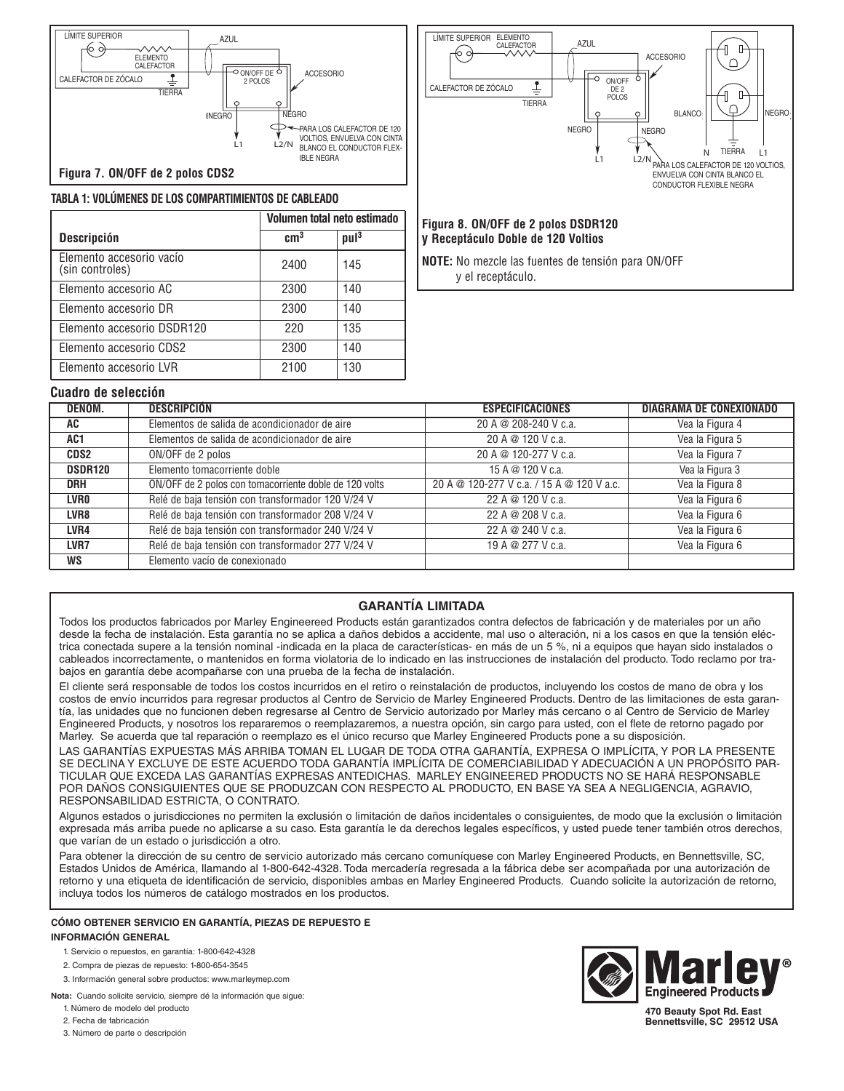



#### **Figura 8. ON/OFF de 2 polos DSDR120 y Receptáculo Doble de 120 Voltios**

**NOTE:** No mezcle las fuentes de tensión para ON/OFF y el receptáculo.

#### **TABLA 1: VOLÚMENES DE LOS COMPARTIMIENTOS DE CABLEADO Volumen total neto estimado**

**Cuadro de selección**

| <b>Descripción</b>                          | cm <sup>3</sup> | pul <sup>3</sup> |
|---------------------------------------------|-----------------|------------------|
| Elemento accesorio vacío<br>(sin controles) | 2400            | 145              |
| Elemento accesorio AC                       | 2300            | 140              |
| Elemento accesorio DR                       | 2300            | 140              |
| Elemento accesorio DSDR120                  | 220             | 135              |
| Elemento accesorio CDS2                     | 2300            | 140              |
| Elemento accesorio LVR                      | 2100            | 130              |

#### **DENOM. DESCRIPCIÓN ESPECIFICACIONES DIAGRAMA DE CONEXIONADO AC** Elementos de salida de acondicionador de aire 20 A @ 208-240 V c.a. Vea la Figura 4 **AC1** Elementos de salida de acondicionador de aire 20 A @ 120 V c.a. Vea la Figura 5 **CDS2** ON/OFF de 2 polos 20 A @ 120-277 V c.a. Vea la Figura 7 **DSDR120** Elemento tomacorriente doble 15 A @ 120 V c.a. Vea la Figura 3 **DRH** ON/OFF de 2 polos con tomacorriente doble de 120 volts 20 A @ 120-277 V c.a. / 15 A @ 120 V a.c. Vea la Figura 8 **LVR0** Relé de baja tensión con transformador 120 V/24 V 22 A @ 120 V c.a. Vea la Figura 6 LVR8 Relé de baja tensión con transformador 208 V/24 V 22 A @ 208 V c.a. Vea la Figura 6 **LVR4** Relé de baja tensión con transformador 240 V/24 V 22 A @ 240 V c.a. Vea la Figura 6 LVR7 | Relé de baja tensión con transformador 277 V/24 V 19 A @ 277 V c.a. Vea la Figura 6 **WS** Elemento vacío de conexionado

### **GARANTÍA LIMITADA**

Todos los productos fabricados por Marley Engineereed Products están garantizados contra defectos de fabricación y de materiales por un año desde la fecha de instalación. Esta garantía no se aplica a daños debidos a accidente, mal uso o alteración, ni a los casos en que la tensión eléctrica conectada supere a la tensión nominal -indicada en la placa de características- en más de un 5 %, ni a equipos que hayan sido instalados o cableados incorrectamente, o mantenidos en forma violatoria de lo indicado en las instrucciones de instalación del producto. Todo reclamo por trabajos en garantía debe acompañarse con una prueba de la fecha de instalación.

El cliente será responsable de todos los costos incurridos en el retiro o reinstalación de productos, incluyendo los costos de mano de obra y los costos de envío incurridos para regresar productos al Centro de Servicio de Marley Engineered Products. Dentro de las limitaciones de esta garantía, las unidades que no funcionen deben regresarse al Centro de Servicio autorizado por Marley más cercano o al Centro de Servicio de Marley Engineered Products, y nosotros los repararemos o reemplazaremos, a nuestra opción, sin cargo para usted, con el flete de retorno pagado por Marley. Se acuerda que tal reparación o reemplazo es el único recurso que Marley Engineered Products pone a su disposición.

LAS GARANTÍAS EXPUESTAS MÁS ARRIBA TOMAN EL LUGAR DE TODA OTRA GARANTÍA, EXPRESA O IMPLÍCITA, Y POR LA PRESENTE SE DECLINA Y EXCLUYE DE ESTE ACUERDO TODA GARANTÍA IMPLÍCITA DE COMERCIABILIDAD Y ADECUACIÓN A UN PROPÓSITO PAR-TICULAR QUE EXCEDA LAS GARANTÍAS EXPRESAS ANTEDICHAS. MARLEY ENGINEERED PRODUCTS NO SE HARÁ RESPONSABLE POR DAÑOS CONSIGUIENTES QUE SE PRODUZCAN CON RESPECTO AL PRODUCTO, EN BASE YA SEA A NEGLIGENCIA, AGRAVIO, RESPONSABILIDAD ESTRICTA, O CONTRATO.

Algunos estados o jurisdicciones no permiten la exclusión o limitación de daños incidentales o consiguientes, de modo que la exclusión o limitación expresada más arriba puede no aplicarse a su caso. Esta garantía le da derechos legales específicos, y usted puede tener también otros derechos, que varían de un estado o jurisdicción a otro.

Para obtener la dirección de su centro de servicio autorizado más cercano comuníquese con Marley Engineered Products, en Bennettsville, SC, Estados Unidos de América, llamando al 1-800-642-4328. Toda mercadería regresada a la fábrica debe ser acompañada por una autorización de retorno y una etiqueta de identificación de servicio, disponibles ambas en Marley Engineered Products. Cuando solicite la autorización de retorno, incluya todos los números de catálogo mostrados en los productos.

#### **CÓMO OBTENER SERVICIO EN GARANTÍA, PIEZAS DE REPUESTO E INFORMACIÓN GENERAL**

- 1. Servicio o repuestos, en garantía: 1-800-642-4328
- 2. Compra de piezas de repuesto: 1-800-654-3545

3. Información general sobre productos: www.marleymep.com

**Nota:** Cuando solicite servicio, siempre dé la información que sigue:

1. Número de modelo del producto

2. Fecha de fabricación

3. Número de parte o descripción



**470 Beauty Spot Rd. East Bennettsville, SC 29512 USA**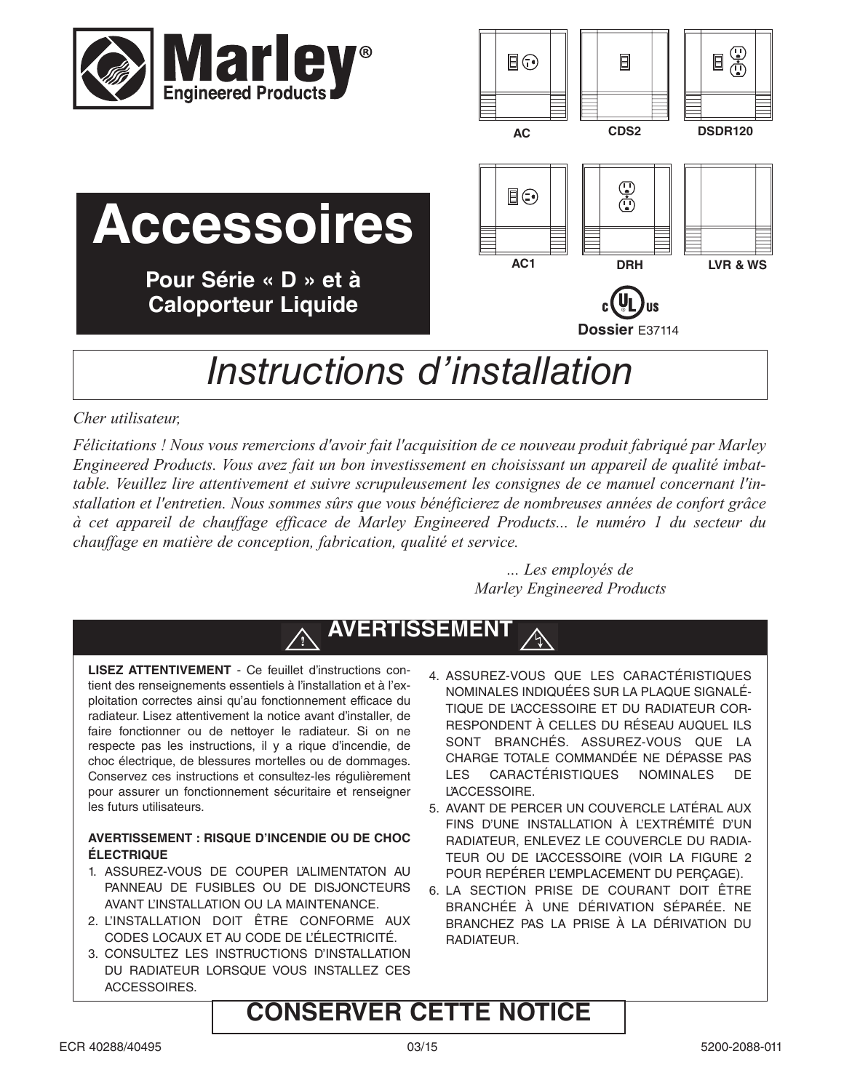

**Accessoires**

**Pour Série « D » et à Caloporteur Liquide**



# *Instructions d'installation* **Dossier** E37114

# *Cher utilisateur,*

*Félicitations ! Nous vous remercions d'avoir fait l'acquisition de ce nouveau produit fabriqué par Marley Engineered Products. Vous avez fait un bon investissement en choisissant un appareil de qualité imbattable. Veuillez lire attentivement et suivre scrupuleusement les consignes de ce manuel concernant l'installation et l'entretien. Nous sommes sûrs que vous bénéficierez de nombreuses années de confort grâce à cet appareil de chauffage efficace de Marley Engineered Products... le numéro 1 du secteur du chauffage en matière de conception, fabrication, qualité et service.*

> *... Les employés de Marley Engineered Products*

# **AVERTISSEMENT**

**LISEZ ATTENTIVEMENT** - Ce feuillet d'instructions contient des renseignements essentiels à l'installation et à l'exploitation correctes ainsi qu'au fonctionnement efficace du radiateur. Lisez attentivement la notice avant d'installer, de faire fonctionner ou de nettoyer le radiateur. Si on ne respecte pas les instructions, il y a rique d'incendie, de choc électrique, de blessures mortelles ou de dommages. Conservez ces instructions et consultez-les régulièrement pour assurer un fonctionnement sécuritaire et renseigner les futurs utilisateurs.

**!**

### **AVERTISSEMENT : RISQUE D'INCENDIE OU DE CHOC ÉLECTRIQUE**

- 1. ASSUREZ-VOUS DE COUPER L'ALIMENTATON AU PANNEAU DE FUSIBLES OU DE DISJONCTEURS AVANT L'INSTALLATION OU LA MAINTENANCE.
- 2. L'INSTALLATION DOIT ÊTRE CONFORME AUX CODES LOCAUX ET AU CODE DE L'ÉLECTRICITÉ.
- 3. CONSULTEZ LES INSTRUCTIONS D'INSTALLATION DU RADIATEUR LORSQUE VOUS INSTALLEZ CES ACCESSOIRES.
- 4. ASSUREZ-VOUS QUE LES CARACTÉRISTIQUES NOMINALES INDIQUÉES SUR LA PLAQUE SIGNALÉ-TIQUE DE L'ACCESSOIRE ET DU RADIATEUR COR-RESPONDENT À CELLES DU RÉSEAU AUQUEL ILS SONT BRANCHÉS. ASSUREZ-VOUS QUE LA CHARGE TOTALE COMMANDÉE NE DÉPASSE PAS LES CARACTÉRISTIQUES NOMINALES DE L'ACCESSOIRE.
- 5. AVANT DE PERCER UN COUVERCLE LATÉRAL AUX FINS D'UNE INSTALLATION À L'EXTRÉMITÉ D'UN RADIATEUR, ENLEVEZ LE COUVERCLE DU RADIA-TEUR OU DE L'ACCESSOIRE (VOIR LA FIGURE 2 POUR REPÉRER L'EMPLACEMENT DU PERÇAGE).
- 6. LA SECTION PRISE DE COURANT DOIT ÊTRE BRANCHÉE À UNE DÉRIVATION SÉPARÉE. NE BRANCHEZ PAS LA PRISE À LA DÉRIVATION DU RADIATEUR.

# **CONSERVER CETTE NOTICE**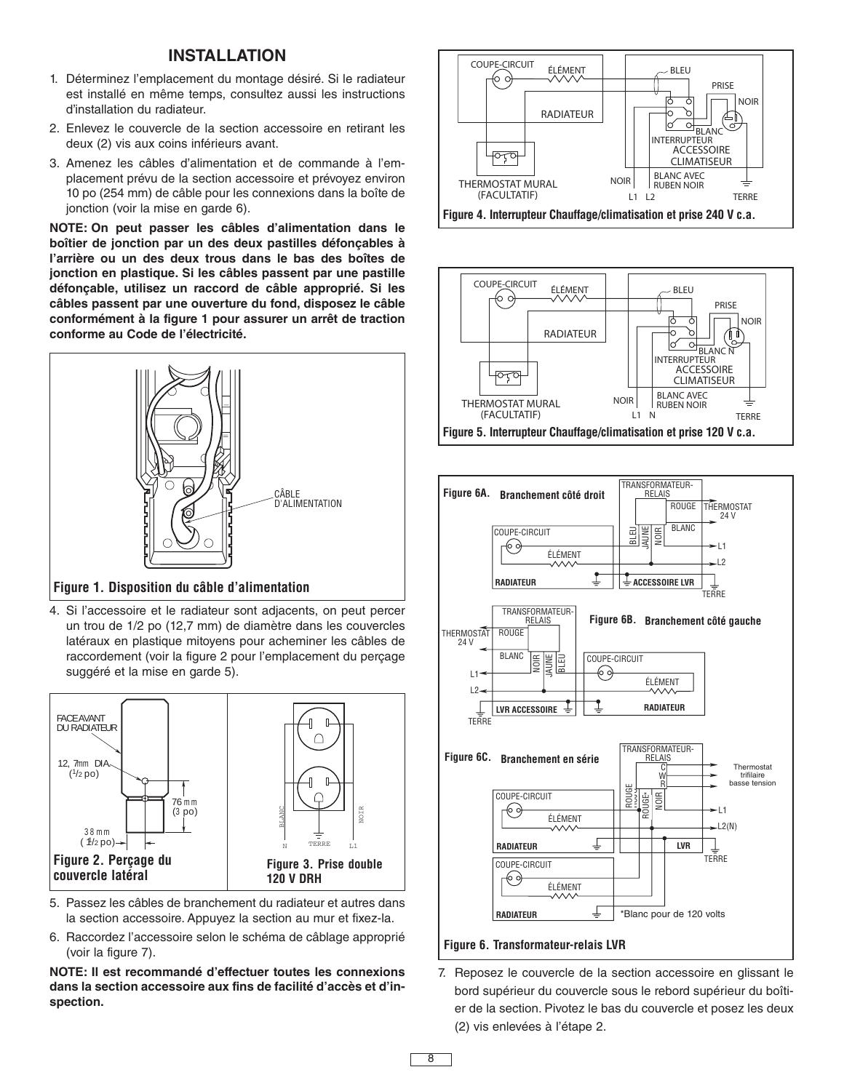## **INSTALLATION**

- 1. Déterminez l'emplacement du montage désiré. Si le radiateur est installé en même temps, consultez aussi les instructions d'installation du radiateur.
- 2. Enlevez le couvercle de la section accessoire en retirant les deux (2) vis aux coins inférieurs avant.
- 3. Amenez les câbles d'alimentation et de commande à l'emplacement prévu de la section accessoire et prévoyez environ 10 po (254 mm) de câble pour les connexions dans la boîte de jonction (voir la mise en garde 6).

**NOTE: On peut passer les câbles d'alimentation dans le boîtier de jonction par un des deux pastilles défonçables à l'arrière ou un des deux trous dans le bas des boîtes de jonction en plastique. Si les câbles passent par une pastille défonçable, utilisez un raccord de câble approprié. Si les câbles passent par une ouverture du fond, disposez le câble conformément à la figure 1 pour assurer un arrêt de traction conforme au Code de l'électricité.**



#### **Figure 1. Disposition du câble d'alimentation**

4. Si l'accessoire et le radiateur sont adjacents, on peut percer un trou de 1/2 po (12,7 mm) de diamètre dans les couvercles latéraux en plastique mitoyens pour acheminer les câbles de raccordement (voir la figure 2 pour l'emplacement du perçage suggéré et la mise en garde 5).



- 5. Passez les câbles de branchement du radiateur et autres dans la section accessoire. Appuyez la section au mur et fixez-la.
- 6. Raccordez l'accessoire selon le schéma de câblage approprié (voir la figure 7).

**NOTE: Il est recommandé d'effectuer toutes les connexions dans la section accessoire aux fins de facilité d'accès et d'inspection.**







**Figure 6. Transformateur-relais LVR**

7. Reposez le couvercle de la section accessoire en glissant le bord supérieur du couvercle sous le rebord supérieur du boîtier de la section. Pivotez le bas du couvercle et posez les deux (2) vis enlevées à l'étape 2.

8